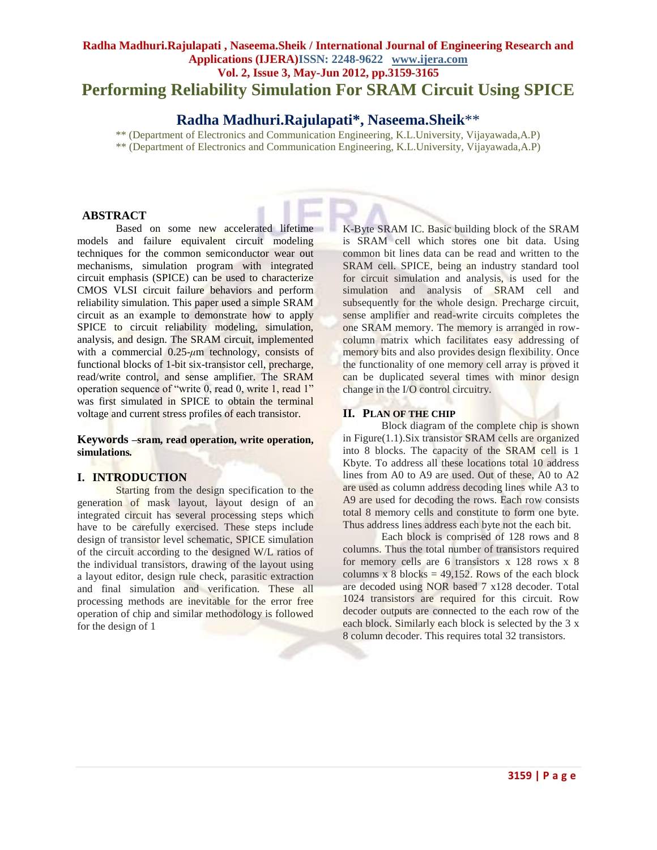# **Radha Madhuri.Rajulapati , Naseema.Sheik / International Journal of Engineering Research and Applications (IJERA)ISSN: 2248-9622 www.ijera.com Vol. 2, Issue 3, May-Jun 2012, pp.3159-3165 Performing Reliability Simulation For SRAM Circuit Using SPICE**

# **Radha Madhuri.Rajulapati\*, Naseema.Sheik**\*\*

\*\* (Department of Electronics and Communication Engineering, K.L.University, Vijayawada,A.P) \*\* (Department of Electronics and Communication Engineering, K.L.University, Vijayawada,A.P)

### **ABSTRACT**

Based on some new accelerated lifetime models and failure equivalent circuit modeling techniques for the common semiconductor wear out mechanisms, simulation program with integrated circuit emphasis (SPICE) can be used to characterize CMOS VLSI circuit failure behaviors and perform reliability simulation. This paper used a simple SRAM circuit as an example to demonstrate how to apply SPICE to circuit reliability modeling, simulation, analysis, and design. The SRAM circuit, implemented with a commercial 0.25-*μ*m technology, consists of functional blocks of 1-bit six-transistor cell, precharge, read/write control, and sense amplifier. The SRAM operation sequence of "write 0, read 0, write 1, read 1" was first simulated in SPICE to obtain the terminal voltage and current stress profiles of each transistor.

#### **Keywords –sram, read operation, write operation, simulations***.*

## **I. INTRODUCTION**

Starting from the design specification to the generation of mask layout, layout design of an integrated circuit has several processing steps which have to be carefully exercised. These steps include design of transistor level schematic, SPICE simulation of the circuit according to the designed W/L ratios of the individual transistors, drawing of the layout using a layout editor, design rule check, parasitic extraction and final simulation and verification. These all processing methods are inevitable for the error free operation of chip and similar methodology is followed for the design of 1

K-Byte SRAM IC. Basic building block of the SRAM is SRAM cell which stores one bit data. Using common bit lines data can be read and written to the SRAM cell. SPICE, being an industry standard tool for circuit simulation and analysis, is used for the simulation and analysis of SRAM cell and subsequently for the whole design. Precharge circuit, sense amplifier and read-write circuits completes the one SRAM memory. The memory is arranged in rowcolumn matrix which facilitates easy addressing of memory bits and also provides design flexibility. Once the functionality of one memory cell array is proved it can be duplicated several times with minor design change in the I/O control circuitry.

## **II. PLAN OF THE CHIP**

Block diagram of the complete chip is shown in Figure(1.1).Six transistor SRAM cells are organized into 8 blocks. The capacity of the SRAM cell is 1 Kbyte. To address all these locations total 10 address lines from A0 to A9 are used. Out of these, A0 to A2 are used as column address decoding lines while A3 to A9 are used for decoding the rows. Each row consists total 8 memory cells and constitute to form one byte. Thus address lines address each byte not the each bit.

Each block is comprised of 128 rows and 8 columns. Thus the total number of transistors required for memory cells are 6 transistors x 128 rows x 8 columns x 8 blocks =  $49,152$ . Rows of the each block are decoded using NOR based 7 x128 decoder. Total 1024 transistors are required for this circuit. Row decoder outputs are connected to the each row of the each block. Similarly each block is selected by the 3 x 8 column decoder. This requires total 32 transistors.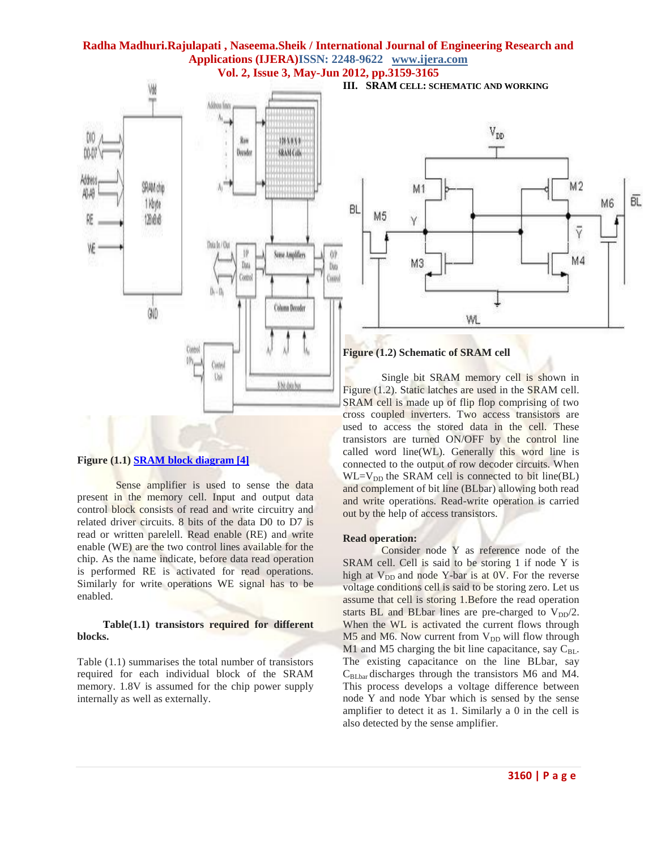

### **Figure (1.1) [SRAM block diagram \[4\]](http://www.cedcc.psu.edu/khanjan/vlsispec.htm)**

Sense amplifier is used to sense the data present in the memory cell. Input and output data control block consists of read and write circuitry and related driver circuits. 8 bits of the data D0 to D7 is read or written parelell. Read enable (RE) and write enable (WE) are the two control lines available for the chip. As the name indicate, before data read operation is performed RE is activated for read operations. Similarly for write operations WE signal has to be enabled.

#### **Table(1.1) transistors required for different blocks.**

Table (1.1) summarises the total number of transistors required for each individual block of the SRAM memory. 1.8V is assumed for the chip power supply internally as well as externally.

**III. SRAM CELL: SCHEMATIC AND WORKING**



#### **Figure (1.2) Schematic of SRAM cell**

Single bit SRAM memory cell is shown in Figure (1.2). Static latches are used in the SRAM cell. SRAM cell is made up of flip flop comprising of two cross coupled inverters. Two access transistors are used to access the stored data in the cell. These transistors are turned ON/OFF by the control line called word line(WL). Generally this word line is connected to the output of row decoder circuits. When  $WL=V_{DD}$  the SRAM cell is connected to bit line(BL) and complement of bit line (BLbar) allowing both read and write operations. Read-write operation is carried out by the help of access transistors.

#### **Read operation:**

Consider node Y as reference node of the SRAM cell. Cell is said to be storing 1 if node Y is high at  $V_{DD}$  and node Y-bar is at 0V. For the reverse voltage conditions cell is said to be storing zero. Let us assume that cell is storing 1.Before the read operation starts BL and BLbar lines are pre-charged to  $V_{DD}/2$ . When the WL is activated the current flows through  $M5$  and  $M6$ . Now current from  $V_{DD}$  will flow through M1 and M5 charging the bit line capacitance, say  $C_{BL}$ . The existing capacitance on the line BLbar, say  $C_{BLbar}$  discharges through the transistors M6 and M4. This process develops a voltage difference between node Y and node Ybar which is sensed by the sense amplifier to detect it as 1. Similarly a 0 in the cell is also detected by the sense amplifier.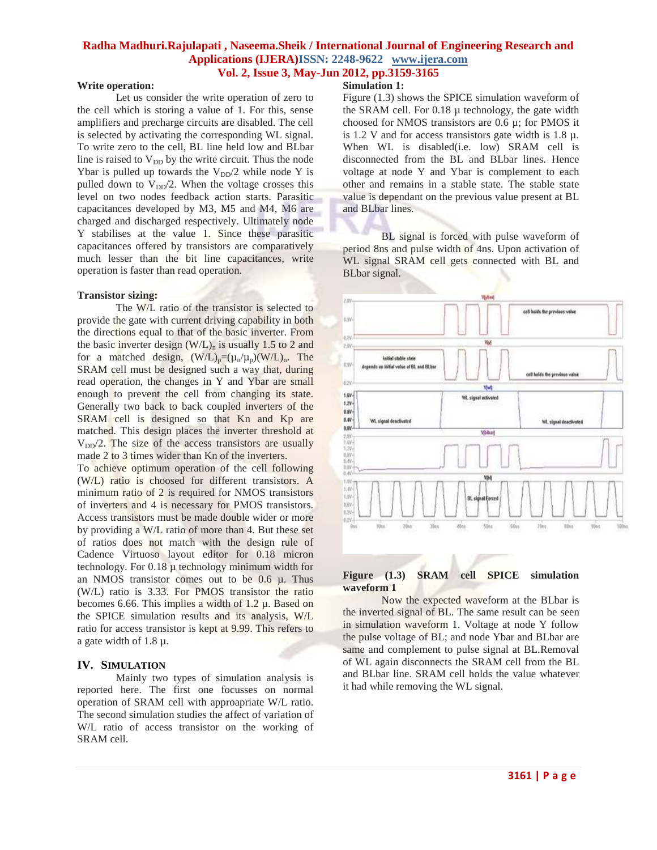#### **Write operation:**

Let us consider the write operation of zero to the cell which is storing a value of 1. For this, sense amplifiers and precharge circuits are disabled. The cell is selected by activating the corresponding WL signal. To write zero to the cell, BL line held low and BLbar line is raised to  $V_{DD}$  by the write circuit. Thus the node Ybar is pulled up towards the  $V_{DD}/2$  while node Y is pulled down to  $V_{DD}/2$ . When the voltage crosses this level on two nodes feedback action starts. Parasitic capacitances developed by M3, M5 and M4, M6 are charged and discharged respectively. Ultimately node Y stabilises at the value 1. Since these parasitic capacitances offered by transistors are comparatively much lesser than the bit line capacitances, write operation is faster than read operation.

#### **Transistor sizing:**

The W/L ratio of the transistor is selected to provide the gate with current driving capability in both the directions equal to that of the basic inverter. From the basic inverter design  $(W/L)$ <sub>n</sub> is usually 1.5 to 2 and for a matched design,  $(W/L)_p = (\mu_n/\mu_p)(W/L)_n$ . The SRAM cell must be designed such a way that, during read operation, the changes in Y and Ybar are small enough to prevent the cell from changing its state. Generally two back to back coupled inverters of the SRAM cell is designed so that Kn and Kp are matched. This design places the inverter threshold at  $V_{DD}/2$ . The size of the access transistors are usually made 2 to 3 times wider than Kn of the inverters.

To achieve optimum operation of the cell following (W/L) ratio is choosed for different transistors. A minimum ratio of 2 is required for NMOS transistors of inverters and 4 is necessary for PMOS transistors. Access transistors must be made double wider or more by providing a W/L ratio of more than 4. But these set of ratios does not match with the design rule of Cadence Virtuoso layout editor for 0.18 micron technology. For 0.18 µ technology minimum width for an NMOS transistor comes out to be  $0.6 \mu$ . Thus (W/L) ratio is 3.33. For PMOS transistor the ratio becomes 6.66. This implies a width of  $1.2 \mu$ . Based on the SPICE simulation results and its analysis, W/L ratio for access transistor is kept at 9.99. This refers to a gate width of 1.8 µ.

### **IV. SIMULATION**

Mainly two types of simulation analysis is reported here. The first one focusses on normal operation of SRAM cell with approapriate W/L ratio. The second simulation studies the affect of variation of W/L ratio of access transistor on the working of SRAM cell.

#### **Simulation 1:**

Figure (1.3) shows the SPICE simulation waveform of the SRAM cell. For 0.18 µ technology, the gate width choosed for NMOS transistors are 0.6 µ; for PMOS it is 1.2 V and for access transistors gate width is 1.8  $\mu$ . When WL is disabled(i.e. low) SRAM cell is disconnected from the BL and BLbar lines. Hence voltage at node Y and Ybar is complement to each other and remains in a stable state. The stable state value is dependant on the previous value present at BL and BLbar lines.

BL signal is forced with pulse waveform of period 8ns and pulse width of 4ns. Upon activation of WL signal SRAM cell gets connected with BL and BLbar signal.



#### **Figure (1.3) SRAM cell SPICE simulation waveform 1**

Now the expected waveform at the BLbar is the inverted signal of BL. The same result can be seen in simulation waveform 1. Voltage at node Y follow the pulse voltage of BL; and node Ybar and BLbar are same and complement to pulse signal at BL.Removal of WL again disconnects the SRAM cell from the BL and BLbar line. SRAM cell holds the value whatever it had while removing the WL signal.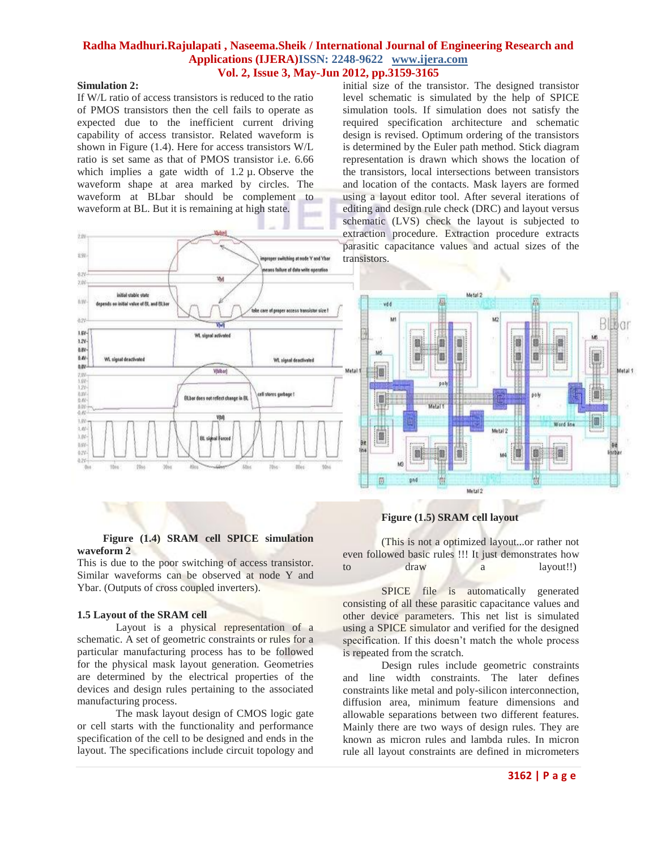## **Simulation 2:**

If W/L ratio of access transistors is reduced to the ratio of PMOS transistors then the cell fails to operate as expected due to the inefficient current driving capability of access transistor. Related waveform is shown in Figure (1.4). Here for access transistors W/L ratio is set same as that of PMOS transistor i.e. 6.66 which implies a gate width of  $1.2 \mu$ . Observe the waveform shape at area marked by circles. The waveform at BLbar should be complement to waveform at BL. But it is remaining at high state.



initial size of the transistor. The designed transistor level schematic is simulated by the help of SPICE simulation tools. If simulation does not satisfy the required specification architecture and schematic design is revised. Optimum ordering of the transistors is determined by the Euler path method. Stick diagram representation is drawn which shows the location of the transistors, local intersections between transistors and location of the contacts. Mask layers are formed using a layout editor tool. After several iterations of editing and design rule check (DRC) and layout versus schematic (LVS) check the layout is subjected to extraction procedure. Extraction procedure extracts parasitic capacitance values and actual sizes of the transistors.



## **Figure (1.5) SRAM cell layout**

(This is not a optimized layout...or rather not even followed basic rules !!! It just demonstrates how to draw a layout!!)

SPICE file is automatically generated consisting of all these parasitic capacitance values and other device parameters. This net list is simulated using a SPICE simulator and verified for the designed specification. If this doesn't match the whole process is repeated from the scratch.

Design rules include geometric constraints and line width constraints. The later defines constraints like metal and poly-silicon interconnection, diffusion area, minimum feature dimensions and allowable separations between two different features. Mainly there are two ways of design rules. They are known as micron rules and lambda rules. In micron rule all layout constraints are defined in micrometers

## **Figure (1.4) SRAM cell SPICE simulation waveform 2**

This is due to the poor switching of access transistor. Similar waveforms can be observed at node Y and Ybar. (Outputs of cross coupled inverters).

#### **1.5 Layout of the SRAM cell**

Layout is a physical representation of a schematic. A set of geometric constraints or rules for a particular manufacturing process has to be followed for the physical mask layout generation. Geometries are determined by the electrical properties of the devices and design rules pertaining to the associated manufacturing process.

The mask layout design of CMOS logic gate or cell starts with the functionality and performance specification of the cell to be designed and ends in the layout. The specifications include circuit topology and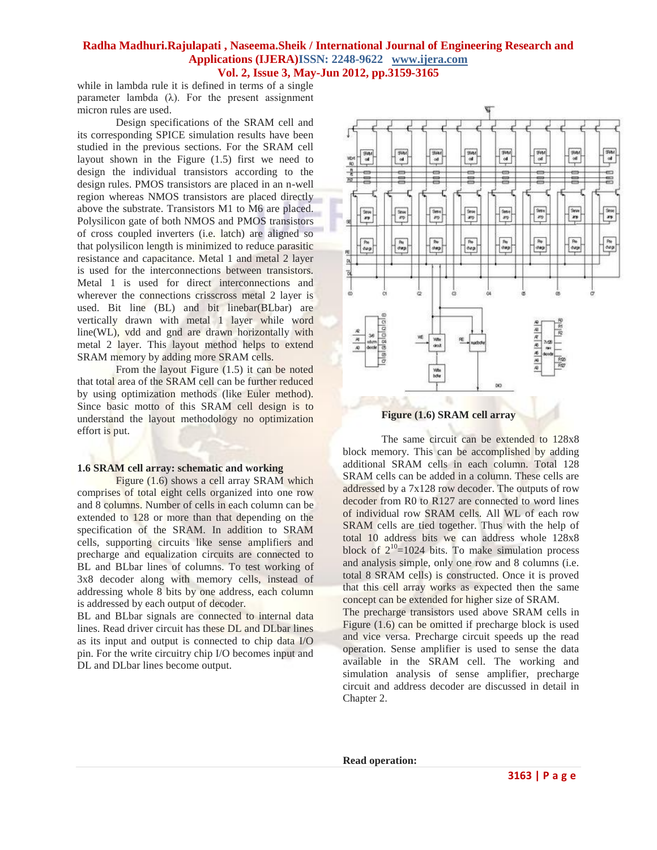while in lambda rule it is defined in terms of a single parameter lambda  $(\lambda)$ . For the present assignment micron rules are used.

Design specifications of the SRAM cell and its corresponding SPICE simulation results have been studied in the previous sections. For the SRAM cell layout shown in the Figure (1.5) first we need to design the individual transistors according to the design rules. PMOS transistors are placed in an n-well region whereas NMOS transistors are placed directly above the substrate. Transistors M1 to M6 are placed. Polysilicon gate of both NMOS and PMOS transistors of cross coupled inverters (i.e. latch) are aligned so that polysilicon length is minimized to reduce parasitic resistance and capacitance. Metal 1 and metal 2 layer is used for the interconnections between transistors. Metal 1 is used for direct interconnections and wherever the connections crisscross metal 2 layer is used. Bit line (BL) and bit linebar(BLbar) are vertically drawn with metal 1 layer while word line(WL), vdd and gnd are drawn horizontally with metal 2 layer. This layout method helps to extend SRAM memory by adding more SRAM cells.

From the layout Figure (1.5) it can be noted that total area of the SRAM cell can be further reduced by using optimization methods (like Euler method). Since basic motto of this SRAM cell design is to understand the layout methodology no optimization effort is put.

#### **1.6 SRAM cell array: schematic and working**

Figure (1.6) shows a cell array SRAM which comprises of total eight cells organized into one row and 8 columns. Number of cells in each column can be extended to 128 or more than that depending on the specification of the SRAM. In addition to SRAM cells, supporting circuits like sense amplifiers and precharge and equalization circuits are connected to BL and BLbar lines of columns. To test working of 3x8 decoder along with memory cells, instead of addressing whole 8 bits by one address, each column is addressed by each output of decoder.

BL and BLbar signals are connected to internal data lines. Read driver circuit has these DL and DLbar lines as its input and output is connected to chip data I/O pin. For the write circuitry chip I/O becomes input and DL and DLbar lines become output.



The same circuit can be extended to 128x8 block memory. This can be accomplished by adding additional SRAM cells in each column. Total 128 SRAM cells can be added in a column. These cells are addressed by a 7x128 row decoder. The outputs of row decoder from R0 to R127 are connected to word lines of individual row SRAM cells. All WL of each row SRAM cells are tied together. Thus with the help of total 10 address bits we can address whole 128x8 block of  $2^{10}$ =1024 bits. To make simulation process and analysis simple, only one row and 8 columns (i.e. total 8 SRAM cells) is constructed. Once it is proved that this cell array works as expected then the same concept can be extended for higher size of SRAM.

The precharge transistors used above SRAM cells in Figure (1.6) can be omitted if precharge block is used and vice versa. Precharge circuit speeds up the read operation. Sense amplifier is used to sense the data available in the SRAM cell. The working and simulation analysis of sense amplifier, precharge circuit and address decoder are discussed in detail in Chapter 2.

**Read operation:**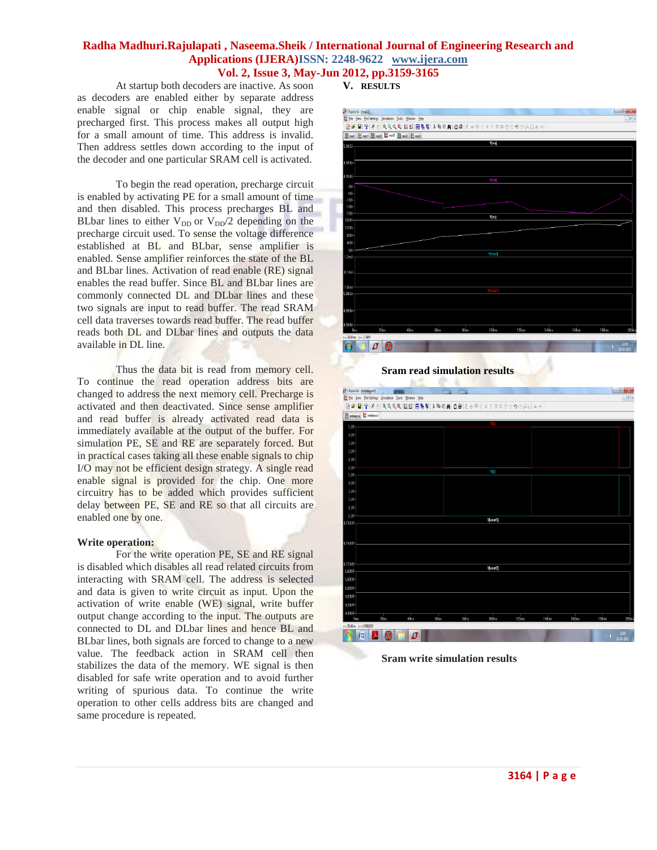At startup both decoders are inactive. As soon as decoders are enabled either by separate address enable signal or chip enable signal, they are precharged first. This process makes all output high for a small amount of time. This address is invalid. Then address settles down according to the input of the decoder and one particular SRAM cell is activated.

To begin the read operation, precharge circuit is enabled by activating PE for a small amount of time and then disabled. This process precharges BL and BLbar lines to either  $V_{DD}$  or  $V_{DD}/2$  depending on the precharge circuit used. To sense the voltage difference established at BL and BLbar, sense amplifier is enabled. Sense amplifier reinforces the state of the BL and BLbar lines. Activation of read enable (RE) signal enables the read buffer. Since BL and BLbar lines are commonly connected DL and DLbar lines and these two signals are input to read buffer. The read SRAM cell data traverses towards read buffer. The read buffer reads both DL and DLbar lines and outputs the data available in DL line.

Thus the data bit is read from memory cell. To continue the read operation address bits are changed to address the next memory cell. Precharge is activated and then deactivated. Since sense amplifier and read buffer is already activated read data is immediately available at the output of the buffer. For simulation PE, SE and RE are separately forced. But in practical cases taking all these enable signals to chip I/O may not be efficient design strategy. A single read enable signal is provided for the chip. One more circuitry has to be added which provides sufficient delay between PE, SE and RE so that all circuits are enabled one by one.

#### **Write operation:**

For the write operation PE, SE and RE signal is disabled which disables all read related circuits from interacting with SRAM cell. The address is selected and data is given to write circuit as input. Upon the activation of write enable (WE) signal, write buffer output change according to the input. The outputs are connected to DL and DLbar lines and hence BL and BLbar lines, both signals are forced to change to a new value. The feedback action in SRAM cell then stabilizes the data of the memory. WE signal is then disabled for safe write operation and to avoid further writing of spurious data. To continue the write operation to other cells address bits are changed and same procedure is repeated.

#### **V. RESULTS**



**Sram read simulation results**



**Sram write simulation results**